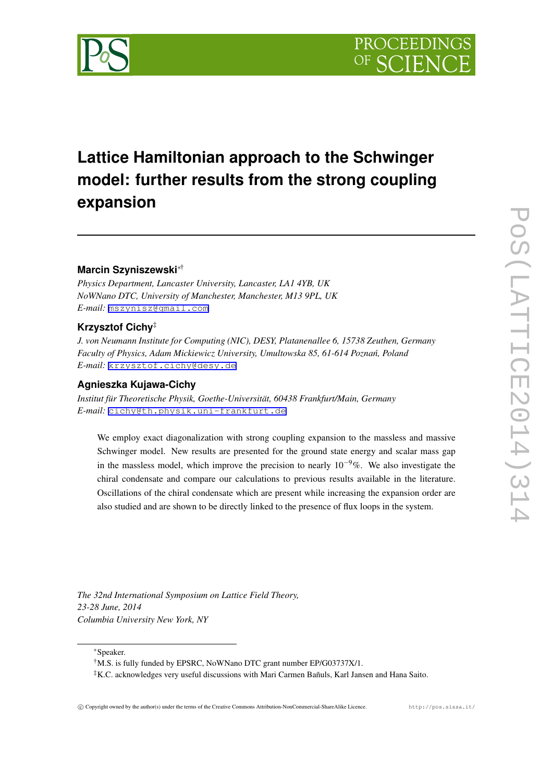

# **Lattice Hamiltonian approach to the Schwinger model: further results from the strong coupling expansion**

# **Marcin Szyniszewski***∗*†

*Physics Department, Lancaster University, Lancaster, LA1 4YB, UK NoWNano DTC, University of Manchester, Manchester, M13 9PL, UK E-mail:* [mszynisz@gmail.com](mailto:mszynisz@gmail.com)

# **Krzysztof Cichy**‡

*J. von Neumann Institute for Computing (NIC), DESY, Platanenallee 6, 15738 Zeuthen, Germany Faculty of Physics, Adam Mickiewicz University, Umultowska 85, 61-614 Pozna´n, Poland E-mail:* [krzysztof.cichy@desy.de](mailto:krzysztof.cichy@desy.de)

# **Agnieszka Kujawa-Cichy**

*Institut für Theoretische Physik, Goethe-Universität, 60438 Frankfurt/Main, Germany E-mail:* [cichy@th.physik.uni-frankfurt.de](mailto:cichy@th.physik.uni-frankfurt.de)

We employ exact diagonalization with strong coupling expansion to the massless and massive Schwinger model. New results are presented for the ground state energy and scalar mass gap in the massless model, which improve the precision to nearly 10*−*9%. We also investigate the chiral condensate and compare our calculations to previous results available in the literature. Oscillations of the chiral condensate which are present while increasing the expansion order are also studied and are shown to be directly linked to the presence of flux loops in the system.

*The 32nd International Symposium on Lattice Field Theory, 23-28 June, 2014 Columbia University New York, NY*

*∗*Speaker.

<sup>†</sup>M.S. is fully funded by EPSRC, NoWNano DTC grant number EP/G03737X/1.

<sup>‡</sup>K.C. acknowledges very useful discussions with Mari Carmen Bañuls, Karl Jansen and Hana Saito.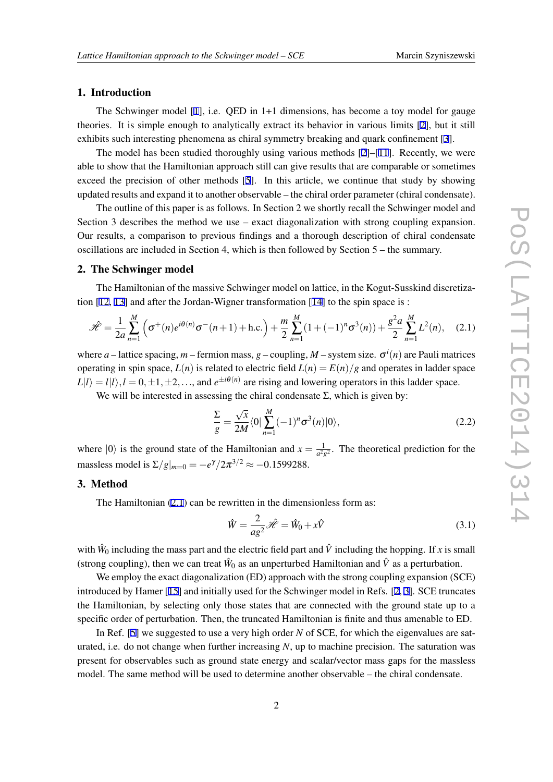## 1. Introduction

The Schwinger model [[1](#page-6-0)], i.e. QED in 1+1 dimensions, has become a toy model for gauge theories. It is simple enough to analytically extract its behavior in various limits [[2](#page-6-0)], but it still exhibits such interesting phenomena as chiral symmetry breaking and quark confinement [[3](#page-6-0)].

The model has been studied thoroughly using various methods  $[2]-[11]$  $[2]-[11]$  $[2]-[11]$  $[2]-[11]$ . Recently, we were able to show that the Hamiltonian approach still can give results that are comparable or sometimes exceed the precision of other methods [[5](#page-6-0)]. In this article, we continue that study by showing updated results and expand it to another observable – the chiral order parameter (chiral condensate).

The outline of this paper is as follows. In Section 2 we shortly recall the Schwinger model and Section 3 describes the method we use – exact diagonalization with strong coupling expansion. Our results, a comparison to previous findings and a thorough description of chiral condensate oscillations are included in Section 4, which is then followed by Section 5 – the summary.

#### 2. The Schwinger model

The Hamiltonian of the massive Schwinger model on lattice, in the Kogut-Susskind discretization [[12,](#page-6-0) [13\]](#page-6-0) and after the Jordan-Wigner transformation [[14\]](#page-6-0) to the spin space is :

$$
\mathcal{H} = \frac{1}{2a} \sum_{n=1}^{M} \left( \sigma^{+}(n) e^{i\theta(n)} \sigma^{-}(n+1) + \text{h.c.} \right) + \frac{m}{2} \sum_{n=1}^{M} (1 + (-1)^{n} \sigma^{3}(n)) + \frac{g^{2} a}{2} \sum_{n=1}^{M} L^{2}(n), \quad (2.1)
$$

where  $a$  – lattice spacing,  $m$  – fermion mass,  $g$  – coupling,  $M$  – system size.  $\sigma^{i}(n)$  are Pauli matrices operating in spin space,  $L(n)$  is related to electric field  $L(n) = E(n)/g$  and operates in ladder space  $L|l\rangle = l|l\rangle, l = 0, \pm 1, \pm 2, \dots$ , and  $e^{\pm i\theta(n)}$  are rising and lowering operators in this ladder space.

We will be interested in assessing the chiral condensate  $\Sigma$ , which is given by:

$$
\frac{\Sigma}{g} = \frac{\sqrt{x}}{2M} \langle 0 | \sum_{n=1}^{M} (-1)^n \sigma^3(n) | 0 \rangle, \qquad (2.2)
$$

where  $|0\rangle$  is the ground state of the Hamiltonian and  $x = \frac{1}{a^2}$  $\frac{1}{a^2g^2}$ . The theoretical prediction for the massless model is  $\Sigma/g|_{m=0} = -e^{\gamma}/2\pi^{3/2} \approx -0.1599288$ .

# 3. Method

The Hamiltonian (2.1) can be rewritten in the dimensionless form as:

$$
\hat{W} = \frac{2}{ag^2} \hat{\mathcal{H}} = \hat{W}_0 + x\hat{V}
$$
\n(3.1)

with  $\hat{W}_0$  including the mass part and the electric field part and  $\hat{V}$  including the hopping. If *x* is small (strong coupling), then we can treat  $\hat{W}_0$  as an unperturbed Hamiltonian and  $\hat{V}$  as a perturbation.

We employ the exact diagonalization (ED) approach with the strong coupling expansion (SCE) introduced by Hamer [\[15](#page-6-0)] and initially used for the Schwinger model in Refs. [[2](#page-6-0), [3\]](#page-6-0). SCE truncates the Hamiltonian, by selecting only those states that are connected with the ground state up to a specific order of perturbation. Then, the truncated Hamiltonian is finite and thus amenable to ED.

In Ref. [[5](#page-6-0)] we suggested to use a very high order *N* of SCE, for which the eigenvalues are saturated, i.e. do not change when further increasing *N*, up to machine precision. The saturation was present for observables such as ground state energy and scalar/vector mass gaps for the massless model. The same method will be used to determine another observable – the chiral condensate.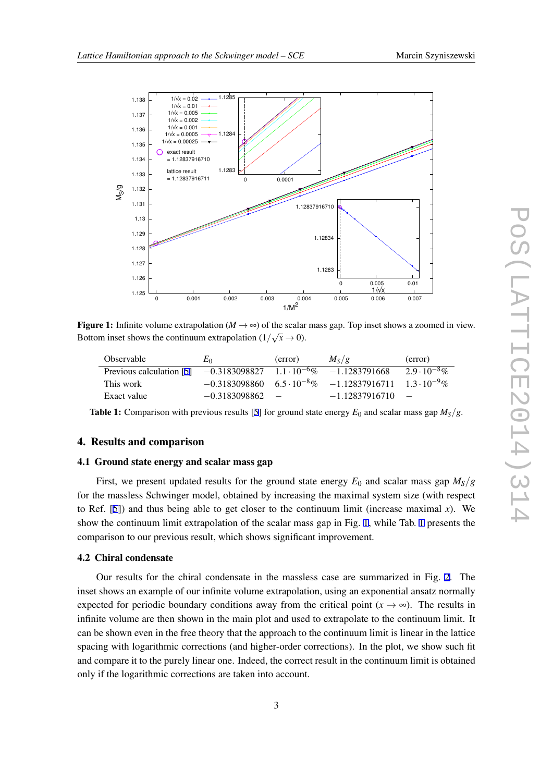<span id="page-2-0"></span>

**Figure 1:** Infinite volume extrapolation ( $M \rightarrow \infty$ ) of the scalar mass gap. Top inset shows a zoomed in view. Bottom inset shows the continuum extrapolation  $(1/\sqrt{x} \rightarrow 0)$ .

| Observable                                                                     | $E_0$             | (error) | $M_S/g$                                                                      | (error)               |
|--------------------------------------------------------------------------------|-------------------|---------|------------------------------------------------------------------------------|-----------------------|
| Previous calculation [5] $-0.3183098827$ $1.1 \cdot 10^{-6}\%$ $-1.1283791668$ |                   |         |                                                                              | $2.9 \cdot 10^{-8}$ % |
| This work                                                                      |                   |         | $-0.3183098860$ $6.5 \cdot 10^{-8}\%$ $-1.12837916711$ $1.3 \cdot 10^{-9}\%$ |                       |
| Exact value                                                                    | $-0.3183098862 -$ |         | $-1.12837916710 =$                                                           |                       |

**Table 1:** Comparison with previous results [[5\]](#page-6-0) for ground state energy  $E_0$  and scalar mass gap  $M_S/g$ .

# 4. Results and comparison

#### 4.1 Ground state energy and scalar mass gap

First, we present updated results for the ground state energy  $E_0$  and scalar mass gap  $M_S/g$ for the massless Schwinger model, obtained by increasing the maximal system size (with respect to Ref. [[5](#page-6-0)]) and thus being able to get closer to the continuum limit (increase maximal  $x$ ). We show the continuum limit extrapolation of the scalar mass gap in Fig. 1, while Tab. 1 presents the comparison to our previous result, which shows significant improvement.

## 4.2 Chiral condensate

Our results for the chiral condensate in the massless case are summarized in Fig. [2](#page-3-0). The inset shows an example of our infinite volume extrapolation, using an exponential ansatz normally expected for periodic boundary conditions away from the critical point  $(x \rightarrow \infty)$ . The results in infinite volume are then shown in the main plot and used to extrapolate to the continuum limit. It can be shown even in the free theory that the approach to the continuum limit is linear in the lattice spacing with logarithmic corrections (and higher-order corrections). In the plot, we show such fit and compare it to the purely linear one. Indeed, the correct result in the continuum limit is obtained only if the logarithmic corrections are taken into account.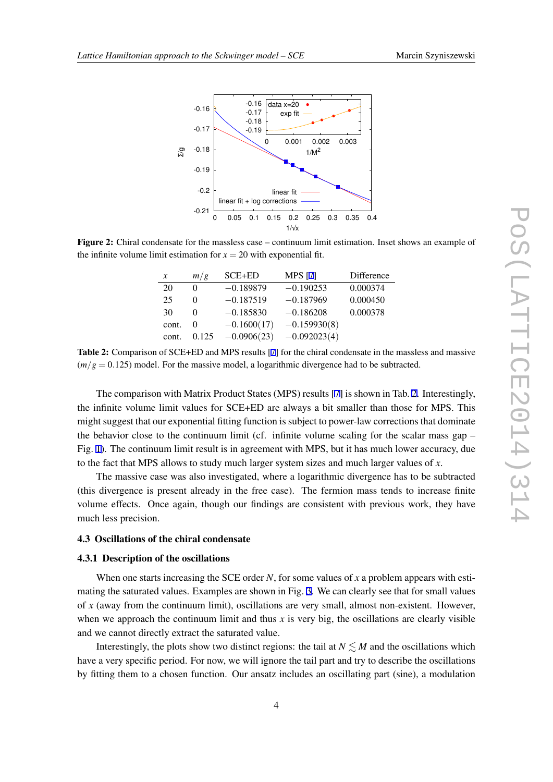<span id="page-3-0"></span>

Figure 2: Chiral condensate for the massless case – continuum limit estimation. Inset shows an example of the infinite volume limit estimation for  $x = 20$  with exponential fit.

| $\boldsymbol{x}$ | m/g      | $SCE+ED$      | <b>MPS</b> [7] | Difference |
|------------------|----------|---------------|----------------|------------|
| 20               | $\Omega$ | $-0.189879$   | $-0.190253$    | 0.000374   |
| 25               |          | $-0.187519$   | $-0.187969$    | 0.000450   |
| 30               |          | $-0.185830$   | $-0.186208$    | 0.000378   |
| cont.            | $\theta$ | $-0.1600(17)$ | $-0.159930(8)$ |            |
| cont.            | 0.125    | $-0.0906(23)$ | $-0.092023(4)$ |            |

Table 2: Comparison of SCE+ED and MPS results [[7\]](#page-6-0) for the chiral condensate in the massless and massive  $\left(\frac{m}{g}\right) = 0.125$  model. For the massive model, a logarithmic divergence had to be subtracted.

The comparison with Matrix Product States (MPS) results [\[7\]](#page-6-0) is shown in Tab. 2. Interestingly, the infinite volume limit values for SCE+ED are always a bit smaller than those for MPS. This might suggest that our exponential fitting function is subject to power-law corrections that dominate the behavior close to the continuum limit (cf. infinite volume scaling for the scalar mass gap – Fig. [1\)](#page-2-0). The continuum limit result is in agreement with MPS, but it has much lower accuracy, due to the fact that MPS allows to study much larger system sizes and much larger values of *x*.

The massive case was also investigated, where a logarithmic divergence has to be subtracted (this divergence is present already in the free case). The fermion mass tends to increase finite volume effects. Once again, though our findings are consistent with previous work, they have much less precision.

#### 4.3 Oscillations of the chiral condensate

#### 4.3.1 Description of the oscillations

When one starts increasing the SCE order *N*, for some values of *x* a problem appears with estimating the saturated values. Examples are shown in Fig. [3](#page-4-0). We can clearly see that for small values of *x* (away from the continuum limit), oscillations are very small, almost non-existent. However, when we approach the continuum limit and thus  $x$  is very big, the oscillations are clearly visible and we cannot directly extract the saturated value.

Interestingly, the plots show two distinct regions: the tail at  $N \leq M$  and the oscillations which have a very specific period. For now, we will ignore the tail part and try to describe the oscillations by fitting them to a chosen function. Our ansatz includes an oscillating part (sine), a modulation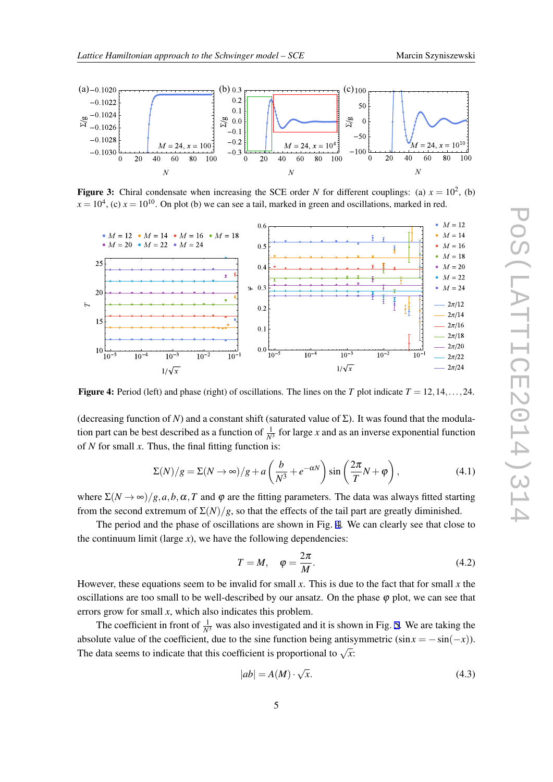<span id="page-4-0"></span>

**Figure 3:** Chiral condensate when increasing the SCE order *N* for different couplings: (a)  $x = 10^2$ , (b)  $x = 10<sup>4</sup>$ , (c)  $x = 10<sup>10</sup>$ . On plot (b) we can see a tail, marked in green and oscillations, marked in red.



**Figure 4:** Period (left) and phase (right) of oscillations. The lines on the *T* plot indicate  $T = 12, 14, \ldots, 24$ .

(decreasing function of *N*) and a constant shift (saturated value of  $\Sigma$ ). It was found that the modulation part can be best described as a function of  $\frac{1}{N^3}$  for large *x* and as an inverse exponential function of *N* for small *x*. Thus, the final fitting function is:

$$
\Sigma(N)/g = \Sigma(N \to \infty)/g + a\left(\frac{b}{N^3} + e^{-\alpha N}\right)\sin\left(\frac{2\pi}{T}N + \varphi\right),\tag{4.1}
$$

where  $\Sigma(N \to \infty)/g$ , *a*, *b*,  $\alpha$ , *T* and  $\varphi$  are the fitting parameters. The data was always fitted starting from the second extremum of  $\Sigma(N)/g$ , so that the effects of the tail part are greatly diminished.

The period and the phase of oscillations are shown in Fig. 4. We can clearly see that close to the continuum limit (large  $x$ ), we have the following dependencies:

$$
T = M, \quad \varphi = \frac{2\pi}{M}.
$$
\n(4.2)

However, these equations seem to be invalid for small *x*. This is due to the fact that for small *x* the oscillations are too small to be well-described by our ansatz. On the phase  $\varphi$  plot, we can see that errors grow for small *x*, which also indicates this problem.

The coefficient in front of  $\frac{1}{N^3}$  was also investigated and it is shown in Fig. [5](#page-5-0). We are taking the absolute value of the coefficient, due to the sine function being antisymmetric  $(\sin x = -\sin(-x))$ . The data seems to indicate that this coefficient is proportional to  $\sqrt{x}$ :

$$
|ab| = A(M) \cdot \sqrt{x}.\tag{4.3}
$$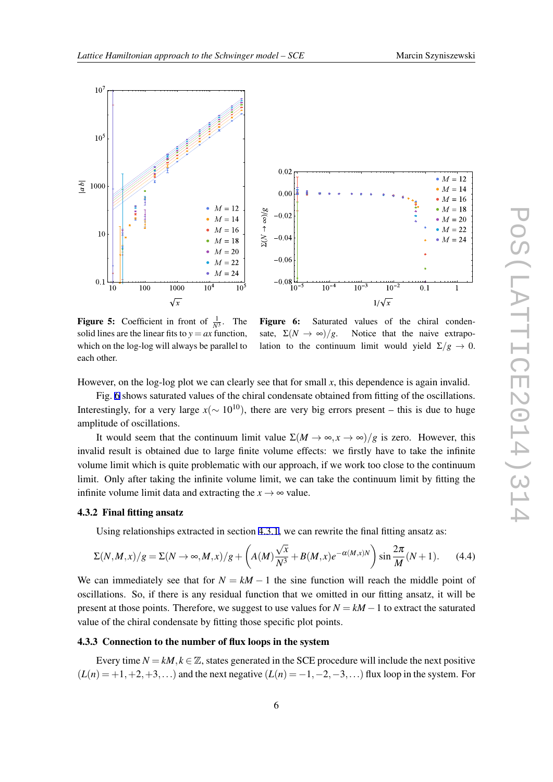<span id="page-5-0"></span>

**Figure 5:** Coefficient in front of  $\frac{1}{N^3}$ . The solid lines are the linear fits to  $y = ax$  function, which on the log-log will always be parallel to each other.

Figure 6: Saturated values of the chiral condensate,  $\Sigma(N \to \infty)/g$ . Notice that the naive extrapolation to the continuum limit would yield  $\Sigma/g \rightarrow 0$ .

However, on the log-log plot we can clearly see that for small  $x$ , this dependence is again invalid.

Fig. 6 shows saturated values of the chiral condensate obtained from fitting of the oscillations. Interestingly, for a very large  $x$ ( $\sim 10^{10}$ ), there are very big errors present – this is due to huge amplitude of oscillations.

It would seem that the continuum limit value  $\Sigma(M \to \infty, x \to \infty)/g$  is zero. However, this invalid result is obtained due to large finite volume effects: we firstly have to take the infinite volume limit which is quite problematic with our approach, if we work too close to the continuum limit. Only after taking the infinite volume limit, we can take the continuum limit by fitting the infinite volume limit data and extracting the  $x \rightarrow \infty$  value.

## 4.3.2 Final fitting ansatz

Using relationships extracted in section [4.3.1](#page-3-0), we can rewrite the final fitting ansatz as:

$$
\Sigma(N,M,x)/g = \Sigma(N \to \infty, M,x)/g + \left(A(M)\frac{\sqrt{x}}{N^3} + B(M,x)e^{-\alpha(M,x)N}\right)\sin\frac{2\pi}{M}(N+1). \tag{4.4}
$$

We can immediately see that for  $N = kM - 1$  the sine function will reach the middle point of oscillations. So, if there is any residual function that we omitted in our fitting ansatz, it will be present at those points. Therefore, we suggest to use values for *N* = *kM −*1 to extract the saturated value of the chiral condensate by fitting those specific plot points.

#### 4.3.3 Connection to the number of flux loops in the system

Every time  $N = kM$ ,  $k \in \mathbb{Z}$ , states generated in the SCE procedure will include the next positive  $(L(n) = +1, +2, +3, \ldots)$  and the next negative  $(L(n) = -1, -2, -3, \ldots)$  flux loop in the system. For